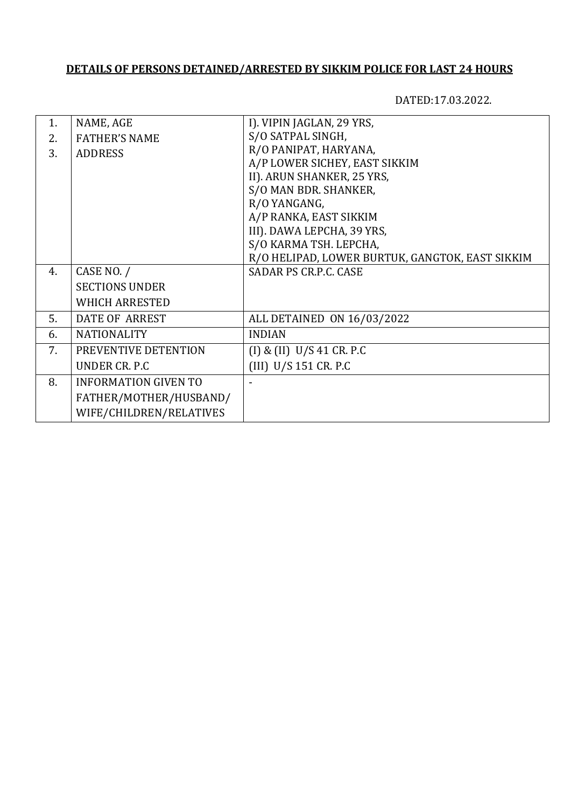DATED:17.03.2022.

|                             | I). VIPIN JAGLAN, 29 YRS,                       |
|-----------------------------|-------------------------------------------------|
|                             | S/O SATPAL SINGH,                               |
| <b>ADDRESS</b>              | R/O PANIPAT, HARYANA,                           |
|                             | A/P LOWER SICHEY, EAST SIKKIM                   |
|                             | II). ARUN SHANKER, 25 YRS,                      |
|                             | S/O MAN BDR. SHANKER,                           |
|                             | R/O YANGANG,                                    |
|                             | A/P RANKA, EAST SIKKIM                          |
|                             | III). DAWA LEPCHA, 39 YRS,                      |
|                             | S/O KARMA TSH. LEPCHA,                          |
|                             | R/O HELIPAD, LOWER BURTUK, GANGTOK, EAST SIKKIM |
| CASE NO. /                  | SADAR PS CR.P.C. CASE                           |
| <b>SECTIONS UNDER</b>       |                                                 |
| <b>WHICH ARRESTED</b>       |                                                 |
| <b>DATE OF ARREST</b>       | ALL DETAINED ON 16/03/2022                      |
| <b>NATIONALITY</b>          | <b>INDIAN</b>                                   |
| PREVENTIVE DETENTION        | $(I)$ & $(II)$ U/S 41 CR. P.C                   |
| UNDER CR. P.C.              | $(III)$ U/S 151 CR. P.C                         |
| <b>INFORMATION GIVEN TO</b> |                                                 |
| FATHER/MOTHER/HUSBAND/      |                                                 |
| WIFE/CHILDREN/RELATIVES     |                                                 |
|                             | NAME, AGE<br><b>FATHER'S NAME</b>               |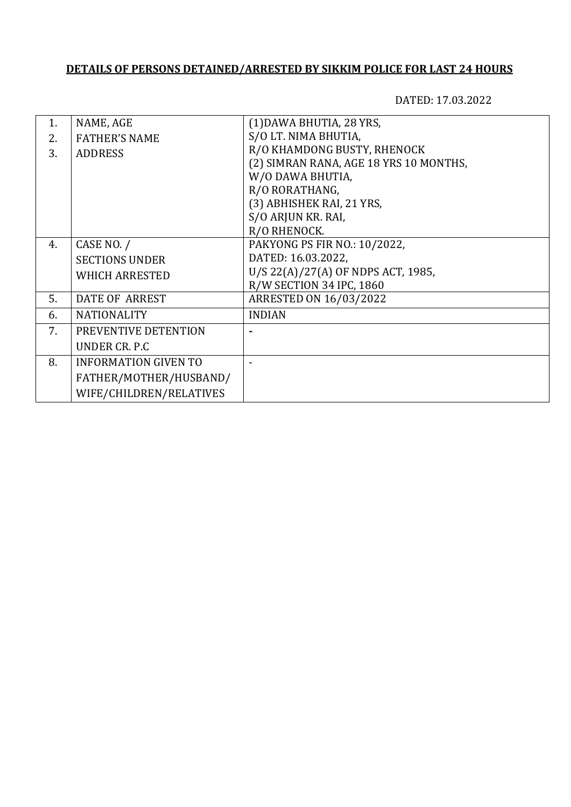| 1. | NAME, AGE                   | (1) DAWA BHUTIA, 28 YRS,               |
|----|-----------------------------|----------------------------------------|
| 2. | <b>FATHER'S NAME</b>        | S/O LT. NIMA BHUTIA,                   |
| 3. | <b>ADDRESS</b>              | R/O KHAMDONG BUSTY, RHENOCK            |
|    |                             | (2) SIMRAN RANA, AGE 18 YRS 10 MONTHS, |
|    |                             | W/O DAWA BHUTIA,                       |
|    |                             | R/O RORATHANG,                         |
|    |                             | (3) ABHISHEK RAI, 21 YRS,              |
|    |                             | S/O ARJUN KR. RAI,                     |
|    |                             | R/O RHENOCK.                           |
| 4. | CASE NO. /                  | PAKYONG PS FIR NO.: 10/2022,           |
|    | <b>SECTIONS UNDER</b>       | DATED: 16.03.2022,                     |
|    | <b>WHICH ARRESTED</b>       | U/S 22(A)/27(A) OF NDPS ACT, 1985,     |
|    |                             | R/W SECTION 34 IPC, 1860               |
| 5. | <b>DATE OF ARREST</b>       | ARRESTED ON 16/03/2022                 |
| 6. | <b>NATIONALITY</b>          | <b>INDIAN</b>                          |
| 7. | PREVENTIVE DETENTION        |                                        |
|    | UNDER CR. P.C.              |                                        |
| 8. | <b>INFORMATION GIVEN TO</b> |                                        |
|    | FATHER/MOTHER/HUSBAND/      |                                        |
|    | WIFE/CHILDREN/RELATIVES     |                                        |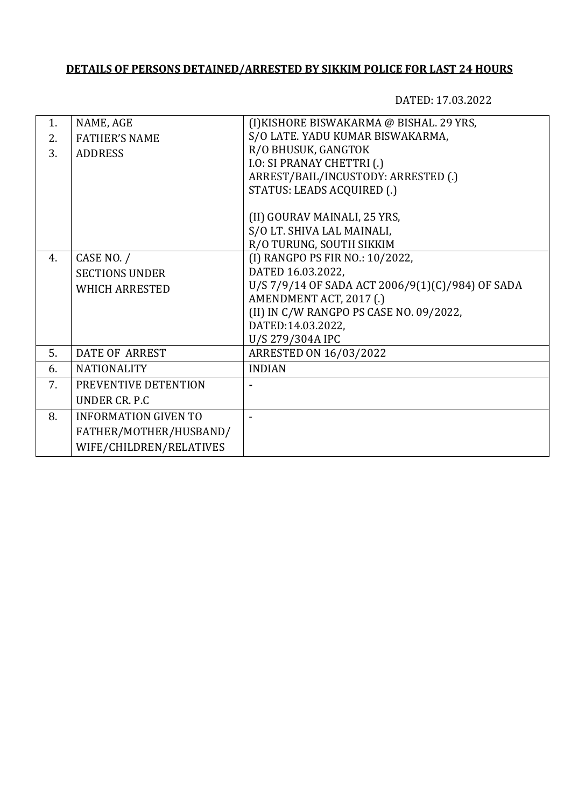| NAME, AGE<br>(I) KISHORE BISWAKARMA @ BISHAL. 29 YRS,<br>1.               |  |
|---------------------------------------------------------------------------|--|
|                                                                           |  |
| S/O LATE. YADU KUMAR BISWAKARMA,<br><b>FATHER'S NAME</b><br>2.            |  |
| R/O BHUSUK, GANGTOK<br>3.<br><b>ADDRESS</b>                               |  |
| <b>I.O: SI PRANAY CHETTRI (.)</b>                                         |  |
| ARREST/BAIL/INCUSTODY: ARRESTED (.)                                       |  |
| STATUS: LEADS ACQUIRED (.)                                                |  |
|                                                                           |  |
| (II) GOURAV MAINALI, 25 YRS,                                              |  |
| S/O LT. SHIVA LAL MAINALI,                                                |  |
| R/O TURUNG, SOUTH SIKKIM                                                  |  |
| (I) RANGPO PS FIR NO.: 10/2022,<br>CASE NO. /<br>4.                       |  |
| DATED 16.03.2022,<br><b>SECTIONS UNDER</b>                                |  |
| U/S 7/9/14 OF SADA ACT 2006/9(1)(C)/984) OF SADA<br><b>WHICH ARRESTED</b> |  |
| AMENDMENT ACT, 2017 (.)                                                   |  |
| (II) IN C/W RANGPO PS CASE NO. 09/2022,                                   |  |
| DATED:14.03.2022,                                                         |  |
| U/S 279/304A IPC                                                          |  |
| 5.<br><b>DATE OF ARREST</b><br>ARRESTED ON 16/03/2022                     |  |
| <b>NATIONALITY</b><br><b>INDIAN</b><br>6.                                 |  |
| 7.<br>PREVENTIVE DETENTION                                                |  |
| UNDER CR. P.C.                                                            |  |
| 8.<br><b>INFORMATION GIVEN TO</b>                                         |  |
| FATHER/MOTHER/HUSBAND/                                                    |  |
| WIFE/CHILDREN/RELATIVES                                                   |  |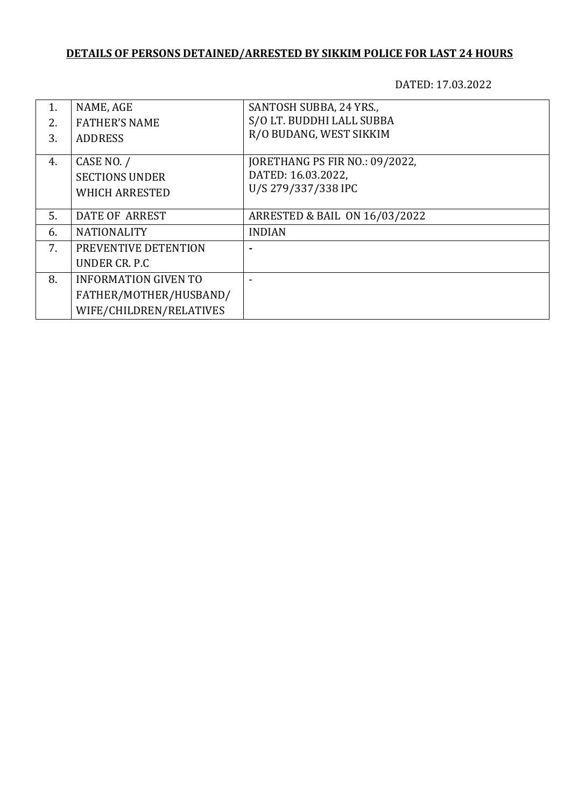| 1. | NAME, AGE                   | SANTOSH SUBBA, 24 YRS.,        |
|----|-----------------------------|--------------------------------|
| 2. | <b>FATHER'S NAME</b>        | S/O LT. BUDDHI LALL SUBBA      |
| 3. | <b>ADDRESS</b>              | R/O BUDANG, WEST SIKKIM        |
|    |                             |                                |
| 4. | CASE NO. /                  | JORETHANG PS FIR NO.: 09/2022, |
|    | <b>SECTIONS UNDER</b>       | DATED: 16.03.2022,             |
|    | <b>WHICH ARRESTED</b>       | U/S 279/337/338 IPC            |
|    |                             |                                |
| 5. | DATE OF ARREST              | ARRESTED & BAIL ON 16/03/2022  |
| 6. | <b>NATIONALITY</b>          | <b>INDIAN</b>                  |
| 7. | PREVENTIVE DETENTION        |                                |
|    | UNDER CR. P.C.              |                                |
| 8. | <b>INFORMATION GIVEN TO</b> |                                |
|    | FATHER/MOTHER/HUSBAND/      |                                |
|    | WIFE/CHILDREN/RELATIVES     |                                |